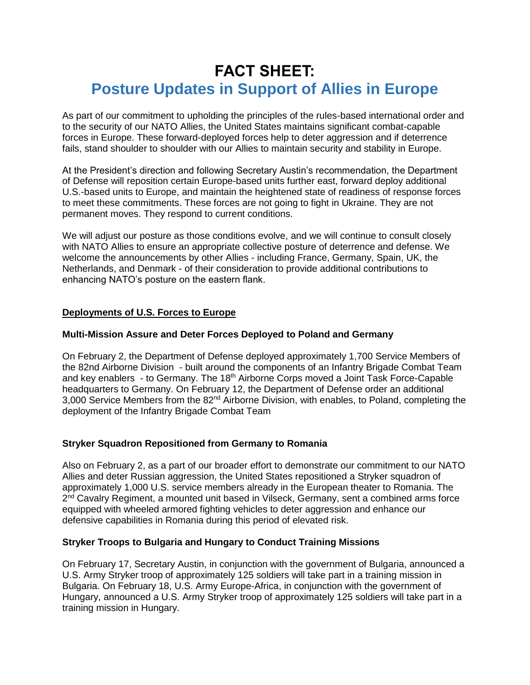# **FACT SHEET: Posture Updates in Support of Allies in Europe**

As part of our commitment to upholding the principles of the rules-based international order and to the security of our NATO Allies, the United States maintains significant combat-capable forces in Europe. These forward-deployed forces help to deter aggression and if deterrence fails, stand shoulder to shoulder with our Allies to maintain security and stability in Europe.

At the President's direction and following Secretary Austin's recommendation, the Department of Defense will reposition certain Europe-based units further east, forward deploy additional U.S.-based units to Europe, and maintain the heightened state of readiness of response forces to meet these commitments. These forces are not going to fight in Ukraine. They are not permanent moves. They respond to current conditions.

We will adjust our posture as those conditions evolve, and we will continue to consult closely with NATO Allies to ensure an appropriate collective posture of deterrence and defense. We welcome the announcements by other Allies - including France, Germany, Spain, UK, the Netherlands, and Denmark - of their consideration to provide additional contributions to enhancing NATO's posture on the eastern flank.

### **Deployments of U.S. Forces to Europe**

### **Multi-Mission Assure and Deter Forces Deployed to Poland and Germany**

On February 2, the Department of Defense deployed approximately 1,700 Service Members of the 82nd Airborne Division - built around the components of an Infantry Brigade Combat Team and key enablers - to Germany. The 18<sup>th</sup> Airborne Corps moved a Joint Task Force-Capable headquarters to Germany. On February 12, the Department of Defense order an additional 3,000 Service Members from the 82<sup>nd</sup> Airborne Division, with enables, to Poland, completing the deployment of the Infantry Brigade Combat Team

### **Stryker Squadron Repositioned from Germany to Romania**

Also on February 2, as a part of our broader effort to demonstrate our commitment to our NATO Allies and deter Russian aggression, the United States repositioned a Stryker squadron of approximately 1,000 U.S. service members already in the European theater to Romania. The 2<sup>nd</sup> Cavalry Regiment, a mounted unit based in Vilseck, Germany, sent a combined arms force equipped with wheeled armored fighting vehicles to deter aggression and enhance our defensive capabilities in Romania during this period of elevated risk.

### **Stryker Troops to Bulgaria and Hungary to Conduct Training Missions**

On February 17, Secretary Austin, in conjunction with the government of Bulgaria, announced a U.S. Army Stryker troop of approximately 125 soldiers will take part in a training mission in Bulgaria. On February 18, U.S. Army Europe-Africa, in conjunction with the government of Hungary, announced a U.S. Army Stryker troop of approximately 125 soldiers will take part in a training mission in Hungary.